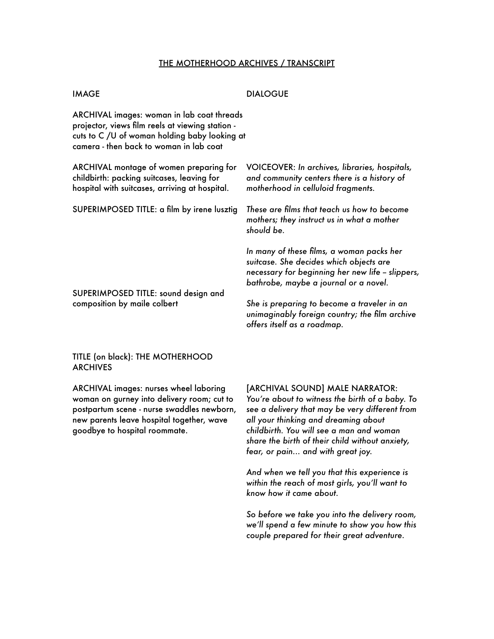# THE MOTHERHOOD ARCHIVES / TRANSCRIPT

### **IMAGE** DIALOGUE

ARCHIVAL images: woman in lab coat threads projector, views film reels at viewing station cuts to C /U of woman holding baby looking at camera - then back to woman in lab coat

ARCHIVAL montage of women preparing for childbirth: packing suitcases, leaving for hospital with suitcases, arriving at hospital.

SUPERIMPOSED TITLE: a film by irene lusztig

SUPERIMPOSED TITLE: sound design and composition by maile colbert

VOICEOVER: *In archives, libraries, hospitals, and community centers there is a history of motherhood in celluloid fragments.* 

*These are films that teach us how to become mothers; they instruct us in what a mother should be.* 

*In many of these films, a woman packs her suitcase. She decides which objects are necessary for beginning her new life -- slippers, bathrobe, maybe a journal or a novel.* 

*She is preparing to become a traveler in an unimaginably foreign country; the film archive offers itself as a roadmap.*

# TITLE (on black): THE MOTHERHOOD ARCHIVES

ARCHIVAL images: nurses wheel laboring woman on gurney into delivery room; cut to postpartum scene - nurse swaddles newborn, new parents leave hospital together, wave goodbye to hospital roommate.

[ARCHIVAL SOUND] MALE NARRATOR:

*You're about to witness the birth of a baby. To see a delivery that may be very different from all your thinking and dreaming about childbirth. You will see a man and woman share the birth of their child without anxiety, fear, or pain... and with great joy.* 

*And when we tell you that this experience is within the reach of most girls, you'll want to know how it came about.* 

*So before we take you into the delivery room, we'll spend a few minute to show you how this couple prepared for their great adventure.*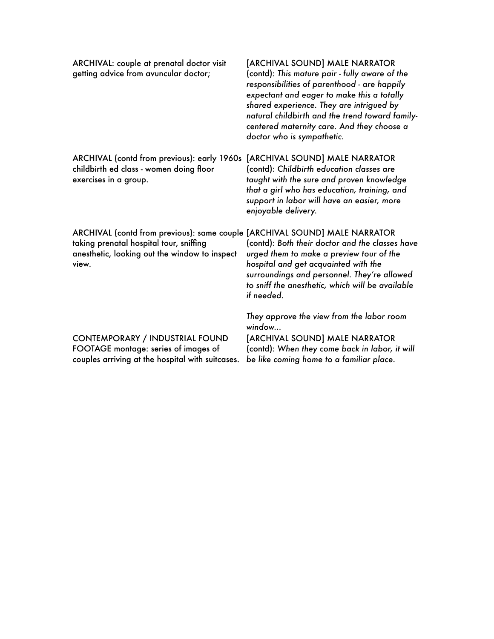| ARCHIVAL: couple at prenatal doctor visit<br>getting advice from avuncular doctor;                                                                                              | [ARCHIVAL SOUND] MALE NARRATOR<br>(contd): This mature pair - fully aware of the<br>responsibilities of parenthood - are happily<br>expectant and eager to make this a totally<br>shared experience. They are intrigued by<br>natural childbirth and the trend toward family-<br>centered maternity care. And they choose a<br>doctor who is sympathetic. |
|---------------------------------------------------------------------------------------------------------------------------------------------------------------------------------|-----------------------------------------------------------------------------------------------------------------------------------------------------------------------------------------------------------------------------------------------------------------------------------------------------------------------------------------------------------|
| ARCHIVAL (contd from previous): early 1960s<br>childbirth ed class - women doing floor<br>exercises in a group.                                                                 | [ARCHIVAL SOUND] MALE NARRATOR<br>(contd): Childbirth education classes are<br>taught with the sure and proven knowledge<br>that a girl who has education, training, and<br>support in labor will have an easier, more<br>enjoyable delivery.                                                                                                             |
| ARCHIVAL (contd from previous): same couple [ARCHIVAL SOUND] MALE NARRATOR<br>taking prenatal hospital tour, sniffing<br>anesthetic, looking out the window to inspect<br>view. | (contd): Both their doctor and the classes have<br>urged them to make a preview tour of the<br>hospital and get acquainted with the<br>surroundings and personnel. They're allowed<br>to sniff the anesthetic, which will be available<br>if needed.                                                                                                      |
| <b>CONTEMPORARY / INDUSTRIAL FOUND</b><br>FOOTAGE montage: series of images of<br>couples arriving at the hospital with suitcases.                                              | They approve the view from the labor room<br>window<br>[ARCHIVAL SOUND] MALE NARRATOR<br>(contd): When they come back in labor, it will<br>be like coming home to a familiar place.                                                                                                                                                                       |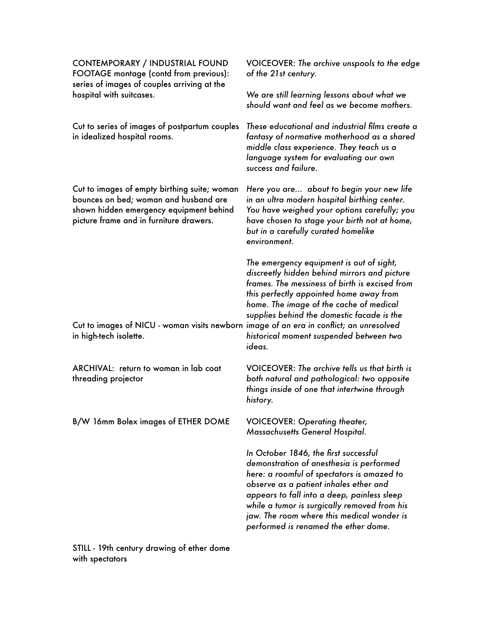| <b>CONTEMPORARY / INDUSTRIAL FOUND</b><br>FOOTAGE montage (contd from previous):<br>series of images of couples arriving at the<br>hospital with suitcases.                 | VOICEOVER: The archive unspools to the edge<br>of the 21st century.                                                                                                                                                                                                                                                                                            |
|-----------------------------------------------------------------------------------------------------------------------------------------------------------------------------|----------------------------------------------------------------------------------------------------------------------------------------------------------------------------------------------------------------------------------------------------------------------------------------------------------------------------------------------------------------|
|                                                                                                                                                                             | We are still learning lessons about what we<br>should want and feel as we become mothers.                                                                                                                                                                                                                                                                      |
| Cut to series of images of postpartum couples<br>in idealized hospital rooms.                                                                                               | These educational and industrial films create a<br>fantasy of normative motherhood as a shared<br>middle class experience. They teach us a<br>language system for evaluating our own<br>success and failure.                                                                                                                                                   |
| Cut to images of empty birthing suite; woman<br>bounces on bed; woman and husband are<br>shown hidden emergency equipment behind<br>picture frame and in furniture drawers. | Here you are about to begin your new life<br>in an ultra modern hospital birthing center.<br>You have weighed your options carefully; you<br>have chosen to stage your birth not at home,<br>but in a carefully curated homelike<br>environment.                                                                                                               |
| Cut to images of NICU - woman visits newborn image of an era in conflict; an unresolved<br>in high-tech isolette.                                                           | The emergency equipment is out of sight,<br>discreetly hidden behind mirrors and picture<br>frames. The messiness of birth is excised from<br>this perfectly appointed home away from<br>home. The image of the cache of medical<br>supplies behind the domestic facade is the<br>historical moment suspended between two<br>ideas.                            |
| ARCHIVAL: return to woman in lab coat<br>threading projector                                                                                                                | VOICEOVER: The archive tells us that birth is<br>both natural and pathological: two opposite<br>things inside of one that intertwine through<br>history.                                                                                                                                                                                                       |
| B/W 16mm Bolex images of ETHER DOME                                                                                                                                         | <b>VOICEOVER: Operating theater,</b><br>Massachusetts General Hospital.                                                                                                                                                                                                                                                                                        |
|                                                                                                                                                                             | In October 1846, the first successful<br>demonstration of anesthesia is performed<br>here: a roomful of spectators is amazed to<br>observe as a patient inhales ether and<br>appears to fall into a deep, painless sleep<br>while a tumor is surgically removed from his<br>jaw. The room where this medical wonder is<br>performed is renamed the ether dome. |

STILL - 19th century drawing of ether dome with spectators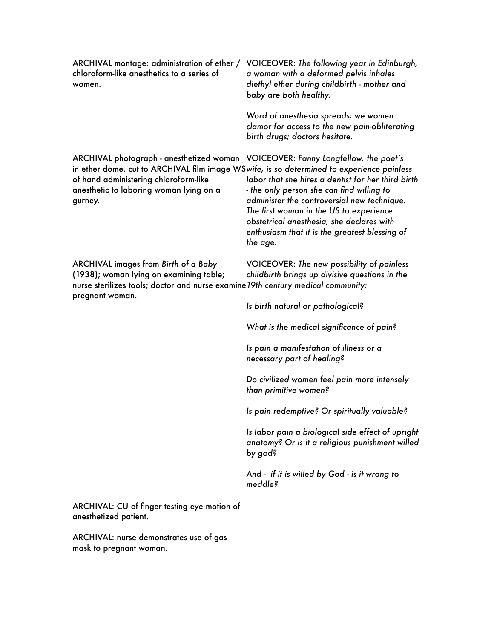| ARCHIVAL montage: administration of ether /<br>chloroform-like anesthetics to a series of<br>women.                                                                                                                                                                          | VOICEOVER: The following year in Edinburgh,<br>a woman with a deformed pelvis inhales<br>diethyl ether during childbirth - mother and<br>baby are both healthy.                                                                                                                                      |
|------------------------------------------------------------------------------------------------------------------------------------------------------------------------------------------------------------------------------------------------------------------------------|------------------------------------------------------------------------------------------------------------------------------------------------------------------------------------------------------------------------------------------------------------------------------------------------------|
|                                                                                                                                                                                                                                                                              | Word of anesthesia spreads; we women<br>clamor for access to the new pain-obliterating<br>birth drugs; doctors hesitate.                                                                                                                                                                             |
| ARCHIVAL photograph - anesthetized woman VOICEOVER: Fanny Longfellow, the poet's<br>in ether dome. cut to ARCHIVAL film image WSwife, is so determined to experience painless<br>of hand administering chloroform-like<br>anesthetic to laboring woman lying on a<br>gurney. | labor that she hires a dentist for her third birth<br>- the only person she can find willing to<br>administer the controversial new technique.<br>The first woman in the US to experience<br>obstetrical anesthesia, she declares with<br>enthusiasm that it is the greatest blessing of<br>the age. |
| ARCHIVAL images from Birth of a Baby<br>(1938); woman lying on examining table;<br>nurse sterilizes tools; doctor and nurse examine 19th century medical community:<br>pregnant woman.                                                                                       | VOICEOVER: The new possibility of painless<br>childbirth brings up divisive questions in the                                                                                                                                                                                                         |
|                                                                                                                                                                                                                                                                              | Is birth natural or pathological?                                                                                                                                                                                                                                                                    |
|                                                                                                                                                                                                                                                                              | What is the medical significance of pain?                                                                                                                                                                                                                                                            |
|                                                                                                                                                                                                                                                                              | Is pain a manifestation of illness or a<br>necessary part of healing?                                                                                                                                                                                                                                |
|                                                                                                                                                                                                                                                                              | Do civilized women feel pain more intensely<br>than primitive women?                                                                                                                                                                                                                                 |
|                                                                                                                                                                                                                                                                              | Is pain redemptive? Or spiritually valuable?                                                                                                                                                                                                                                                         |
|                                                                                                                                                                                                                                                                              | Is labor pain a biological side effect of upright<br>anatomy? Or is it a religious punishment willed<br>p <sup>o</sup> doq <sub>ś</sub>                                                                                                                                                              |
|                                                                                                                                                                                                                                                                              | And - if it is willed by God - is it wrong to<br>meddle?                                                                                                                                                                                                                                             |
| ARCHIVAL: CU of finger testing eye motion of                                                                                                                                                                                                                                 |                                                                                                                                                                                                                                                                                                      |

anesthetized patient.

ARCHIVAL: nurse demonstrates use of gas mask to pregnant woman.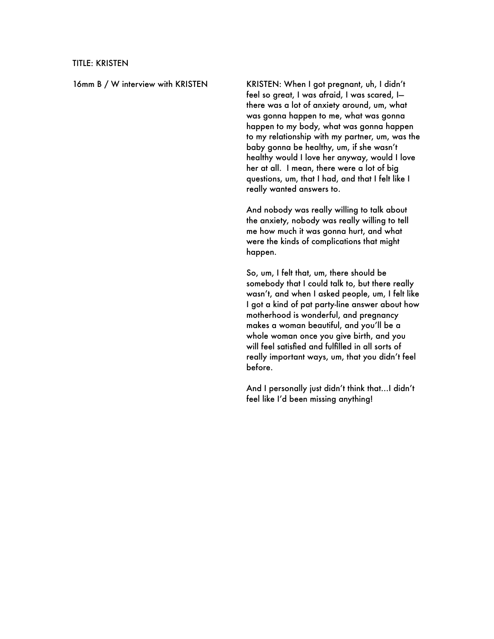16mm B / W interview with KRISTEN KRISTEN: When I got pregnant, uh, I didn't feel so great, I was afraid, I was scared, I there was a lot of anxiety around, um, what was gonna happen to me, what was gonna happen to my body, what was gonna happen to my relationship with my partner, um, was the baby gonna be healthy, um, if she wasn't healthy would I love her anyway, would I love her at all. I mean, there were a lot of big questions, um, that I had, and that I felt like I really wanted answers to.

> And nobody was really willing to talk about the anxiety, nobody was really willing to tell me how much it was gonna hurt, and what were the kinds of complications that might happen.

So, um, I felt that, um, there should be somebody that I could talk to, but there really wasn't, and when I asked people, um, I felt like I got a kind of pat party-line answer about how motherhood is wonderful, and pregnancy makes a woman beautiful, and you'll be a whole woman once you give birth, and you will feel satisfied and fulfilled in all sorts of really important ways, um, that you didn't feel before.

And I personally just didn't think that…I didn't feel like I'd been missing anything!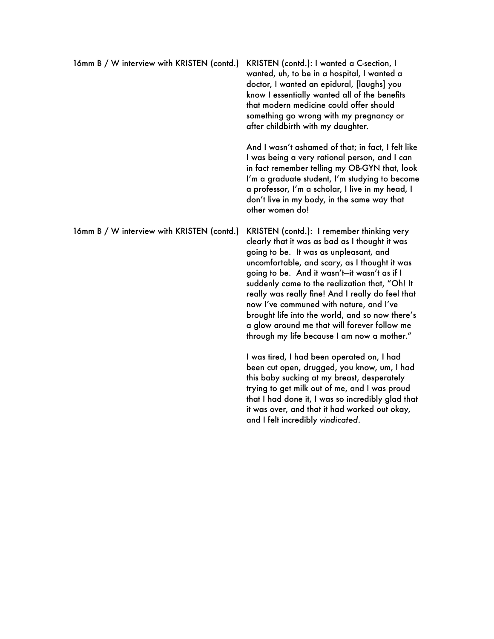| 16mm B / W interview with KRISTEN (contd.) | KRISTEN (contd.): I wanted a C-section, I<br>wanted, uh, to be in a hospital, I wanted a<br>doctor, I wanted an epidural, [laughs] you<br>know I essentially wanted all of the benefits<br>that modern medicine could offer should<br>something go wrong with my pregnancy or<br>after childbirth with my daughter.          |
|--------------------------------------------|------------------------------------------------------------------------------------------------------------------------------------------------------------------------------------------------------------------------------------------------------------------------------------------------------------------------------|
|                                            | And I wasn't ashamed of that; in fact, I felt like<br>I was being a very rational person, and I can<br>in fact remember telling my OB-GYN that, look<br>I'm a graduate student, I'm studying to become<br>a professor, I'm a scholar, I live in my head, I<br>don't live in my body, in the same way that<br>other women do! |
| 16mm B / W interview with KRISTEN (contd.) | KRISTEN (contd.): I remember thinking very<br>clearly that it was as bad as I thought it was                                                                                                                                                                                                                                 |

I was tired, I had been operated on, I had been cut open, drugged, you know, um, I had this baby sucking at my breast, desperately trying to get milk out of me, and I was proud that I had done it, I was so incredibly glad that it was over, and that it had worked out okay, and I felt incredibly *vindicated*.

going to be. It was as unpleasant, and uncomfortable, and scary, as I thought it was going to be. And it wasn't—it wasn't as if I suddenly came to the realization that, "Oh! It really was really fine! And I really do feel that now I've communed with nature, and I've brought life into the world, and so now there's a glow around me that will forever follow me through my life because I am now a mother."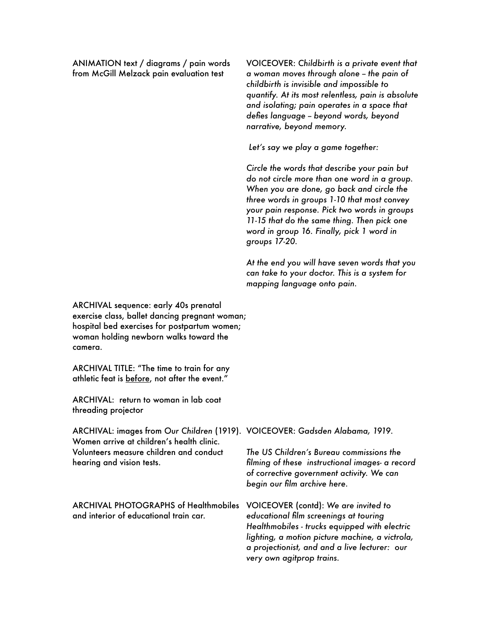ANIMATION text / diagrams / pain words from McGill Melzack pain evaluation test

VOICEOVER: *Childbirth is a private event that a woman moves through alone -- the pain of childbirth is invisible and impossible to quantify. At its most relentless, pain is absolute and isolating; pain operates in a space that defies language -- beyond words, beyond narrative, beyond memory.* 

 *Let's say we play a game together:*

*Circle the words that describe your pain but do not circle more than one word in a group. When you are done, go back and circle the three words in groups 1-10 that most convey your pain response. Pick two words in groups 11-15 that do the same thing. Then pick one word in group 16. Finally, pick 1 word in groups 17-20.* 

*At the end you will have seven words that you can take to your doctor. This is a system for mapping language onto pain.*

ARCHIVAL sequence: early 40s prenatal exercise class, ballet dancing pregnant woman; hospital bed exercises for postpartum women; woman holding newborn walks toward the camera.

ARCHIVAL TITLE: "The time to train for any athletic feat is before, not after the event."

ARCHIVAL: return to woman in lab coat threading projector

ARCHIVAL: images from *Our Children* (1919). VOICEOVER: *Gadsden Alabama, 1919.*  Women arrive at children's health clinic. Volunteers measure children and conduct hearing and vision tests.

ARCHIVAL PHOTOGRAPHS of Healthmobiles VOICEOVER (contd): *We are invited to*  and interior of educational train car.

*The US Children's Bureau commissions the filming of these instructional images- a record of corrective government activity. We can begin our film archive here.* 

*educational film screenings at touring Healthmobiles - trucks equipped with electric lighting, a motion picture machine, a victrola, a projectionist, and and a live lecturer: our very own agitprop trains.*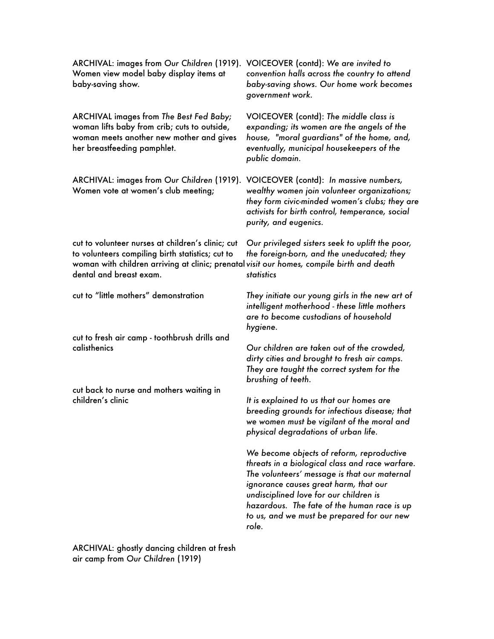| ARCHIVAL: images from Our Children (1919).<br>Women view model baby display items at<br>baby-saving show.                                                                                                                     | VOICEOVER (contd): We are invited to<br>convention halls across the country to attend<br>baby-saving shows. Our home work becomes<br>government work.                                                                                                                                                                                 |
|-------------------------------------------------------------------------------------------------------------------------------------------------------------------------------------------------------------------------------|---------------------------------------------------------------------------------------------------------------------------------------------------------------------------------------------------------------------------------------------------------------------------------------------------------------------------------------|
| <b>ARCHIVAL images from The Best Fed Baby;</b><br>woman lifts baby from crib; cuts to outside,<br>woman meets another new mother and gives<br>her breastfeeding pamphlet.                                                     | VOICEOVER (contd): The middle class is<br>expanding; its women are the angels of the<br>house, "moral guardians" of the home, and,<br>eventually, municipal housekeepers of the<br>public domain.                                                                                                                                     |
| ARCHIVAL: images from Our Children (1919).<br>Women vote at women's club meeting;                                                                                                                                             | VOICEOVER (contd): In massive numbers,<br>wealthy women join volunteer organizations;<br>they form civic-minded women's clubs; they are<br>activists for birth control, temperance, social<br>purity, and eugenics.                                                                                                                   |
| cut to volunteer nurses at children's clinic; cut<br>to volunteers compiling birth statistics; cut to<br>woman with children arriving at clinic; prenatal visit our homes, compile birth and death<br>dental and breast exam. | Our privileged sisters seek to uplift the poor,<br>the foreign-born, and the uneducated; they<br>statistics                                                                                                                                                                                                                           |
| cut to "little mothers" demonstration                                                                                                                                                                                         | They initiate our young girls in the new art of<br>intelligent motherhood - these little mothers<br>are to become custodians of household<br>hygiene.                                                                                                                                                                                 |
| cut to fresh air camp - toothbrush drills and<br>calisthenics                                                                                                                                                                 | Our children are taken out of the crowded,<br>dirty cities and brought to fresh air camps.<br>They are taught the correct system for the<br>brushing of teeth.                                                                                                                                                                        |
| cut back to nurse and mothers waiting in<br>children's clinic                                                                                                                                                                 | It is explained to us that our homes are<br>breeding grounds for infectious disease; that<br>we women must be vigilant of the moral and<br>physical degradations of urban life.                                                                                                                                                       |
|                                                                                                                                                                                                                               | We become objects of reform, reproductive<br>threats in a biological class and race warfare.<br>The volunteers' message is that our maternal<br>ignorance causes great harm, that our<br>undisciplined love for our children is<br>hazardous. The fate of the human race is up<br>to us, and we must be prepared for our new<br>role. |
|                                                                                                                                                                                                                               |                                                                                                                                                                                                                                                                                                                                       |

ARCHIVAL: ghostly dancing children at fresh air camp from *Our Children* (1919)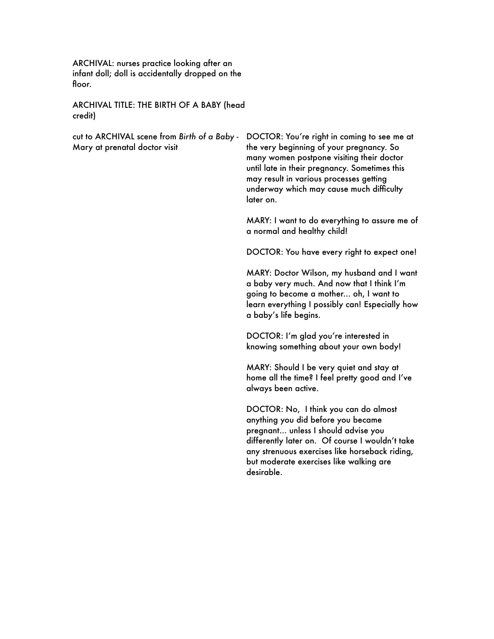ARCHIVAL: nurses practice looking after an infant doll; doll is accidentally dropped on the floor.

ARCHIVAL TITLE: THE BIRTH OF A BABY (head credit)

cut to ARCHIVAL scene from *Birth of a Baby* - Mary at prenatal doctor visit

DOCTOR: You're right in coming to see me at the very beginning of your pregnancy. So many women postpone visiting their doctor until late in their pregnancy. Sometimes this may result in various processes getting underway which may cause much difficulty later on.

MARY: I want to do everything to assure me of a normal and healthy child!

DOCTOR: You have every right to expect one!

MARY: Doctor Wilson, my husband and I want a baby very much. And now that I think I'm going to become a mother... oh, I want to learn everything I possibly can! Especially how a baby's life begins.

DOCTOR: I'm glad you're interested in knowing something about your own body!

MARY: Should I be very quiet and stay at home all the time? I feel pretty good and I've always been active.

DOCTOR: No, I think you can do almost anything you did before you became pregnant... unless I should advise you differently later on. Of course I wouldn't take any strenuous exercises like horseback riding, but moderate exercises like walking are desirable.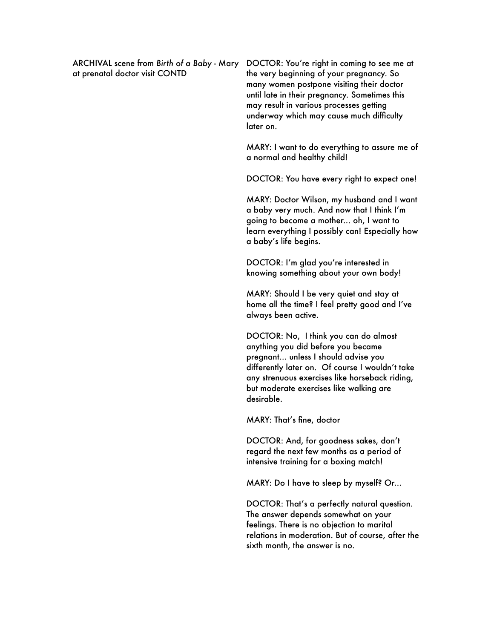at prenatal doctor visit CONTD

ARCHIVAL scene from *Birth of a Baby* - Mary DOCTOR: You're right in coming to see me at the very beginning of your pregnancy. So many women postpone visiting their doctor until late in their pregnancy. Sometimes this may result in various processes getting underway which may cause much difficulty later on.

> MARY: I want to do everything to assure me of a normal and healthy child!

DOCTOR: You have every right to expect one!

MARY: Doctor Wilson, my husband and I want a baby very much. And now that I think I'm going to become a mother... oh, I want to learn everything I possibly can! Especially how a baby's life begins.

DOCTOR: I'm glad you're interested in knowing something about your own body!

MARY: Should I be very quiet and stay at home all the time? I feel pretty good and I've always been active.

DOCTOR: No, I think you can do almost anything you did before you became pregnant... unless I should advise you differently later on. Of course I wouldn't take any strenuous exercises like horseback riding, but moderate exercises like walking are desirable.

MARY: That's fine, doctor

DOCTOR: And, for goodness sakes, don't regard the next few months as a period of intensive training for a boxing match!

MARY: Do I have to sleep by myself? Or...

DOCTOR: That's a perfectly natural question. The answer depends somewhat on your feelings. There is no objection to marital relations in moderation. But of course, after the sixth month, the answer is no.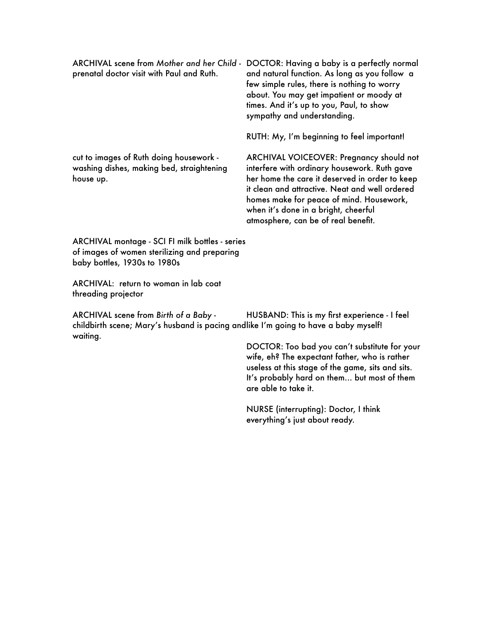prenatal doctor visit with Paul and Ruth.

ARCHIVAL scene from *Mother and her Child* - DOCTOR: Having a baby is a perfectly normal and natural function. As long as you follow a few simple rules, there is nothing to worry about. You may get impatient or moody at times. And it's up to you, Paul, to show sympathy and understanding.

RUTH: My, I'm beginning to feel important!

cut to images of Ruth doing housework washing dishes, making bed, straightening house up.

ARCHIVAL VOICEOVER: Pregnancy should not interfere with ordinary housework. Ruth gave her home the care it deserved in order to keep it clean and attractive. Neat and well ordered homes make for peace of mind. Housework, when it's done in a bright, cheerful atmosphere, can be of real benefit.

ARCHIVAL montage - SCI FI milk bottles - series of images of women sterilizing and preparing baby bottles, 1930s to 1980s

ARCHIVAL: return to woman in lab coat threading projector

ARCHIVAL scene from *Birth of a Baby*  childbirth scene; Mary's husband is pacing andlike I'm going to have a baby myself! waiting. HUSBAND: This is my first experience - I feel

> DOCTOR: Too bad you can't substitute for your wife, eh? The expectant father, who is rather useless at this stage of the game, sits and sits. It's probably hard on them... but most of them are able to take it.

NURSE (interrupting): Doctor, I think everything's just about ready.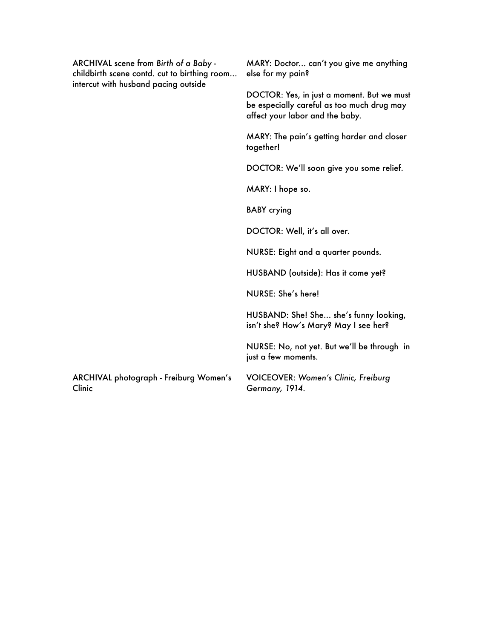| ARCHIVAL scene from Birth of a Baby -<br>childbirth scene contd. cut to birthing room<br>intercut with husband pacing outside | MARY: Doctor can't you give me anything<br>else for my pain?                                                                |
|-------------------------------------------------------------------------------------------------------------------------------|-----------------------------------------------------------------------------------------------------------------------------|
|                                                                                                                               | DOCTOR: Yes, in just a moment. But we must<br>be especially careful as too much drug may<br>affect your labor and the baby. |
|                                                                                                                               | MARY: The pain's getting harder and closer<br>together!                                                                     |
|                                                                                                                               | DOCTOR: We'll soon give you some relief.                                                                                    |
|                                                                                                                               | MARY: I hope so.                                                                                                            |
|                                                                                                                               | <b>BABY</b> crying                                                                                                          |
|                                                                                                                               | DOCTOR: Well, it's all over.                                                                                                |
|                                                                                                                               | NURSE: Eight and a quarter pounds.                                                                                          |
|                                                                                                                               | HUSBAND (outside): Has it come yet?                                                                                         |
|                                                                                                                               | NURSE: She's here!                                                                                                          |
|                                                                                                                               | HUSBAND: She! She she's funny looking,<br>isn't she? How's Mary? May I see her?                                             |
|                                                                                                                               | NURSE: No, not yet. But we'll be through in<br>just a few moments.                                                          |
| ARCHIVAL photograph - Freiburg Women's<br>Clinic                                                                              | <b>VOICEOVER: Women's Clinic, Freiburg</b><br>Germany, 1914.                                                                |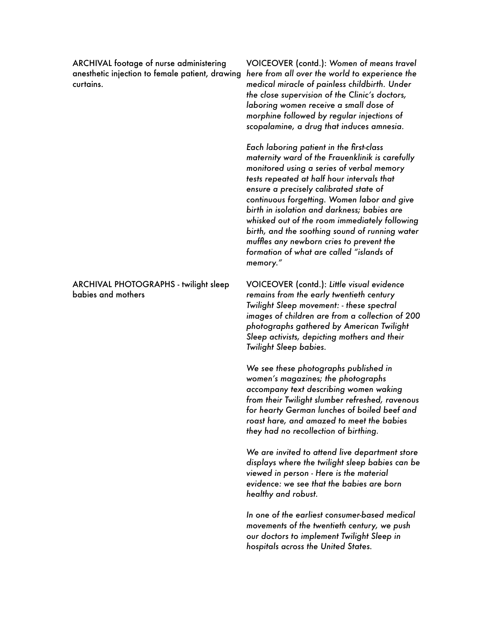ARCHIVAL footage of nurse administering curtains.

# ARCHIVAL PHOTOGRAPHS - twilight sleep babies and mothers

anesthetic injection to female patient, drawing *here from all over the world to experience the*  VOICEOVER (contd.): *Women of means travel medical miracle of painless childbirth. Under the close supervision of the Clinic's doctors, laboring women receive a small dose of morphine followed by regular injections of scopalamine, a drug that induces amnesia.* 

> *Each laboring patient in the first-class maternity ward of the Frauenklinik is carefully monitored using a series of verbal memory tests repeated at half hour intervals that ensure a precisely calibrated state of continuous forgetting. Women labor and give birth in isolation and darkness; babies are whisked out of the room immediately following birth, and the soothing sound of running water muffles any newborn cries to prevent the formation of what are called "islands of memory."*

VOICEOVER (contd.): *Little visual evidence remains from the early twentieth century Twilight Sleep movement: - these spectral images of children are from a collection of 200 photographs gathered by American Twilight Sleep activists, depicting mothers and their Twilight Sleep babies.*

*We see these photographs published in women's magazines; the photographs accompany text describing women waking from their Twilight slumber refreshed, ravenous for hearty German lunches of boiled beef and roast hare, and amazed to meet the babies they had no recollection of birthing.* 

*We are invited to attend live department store displays where the twilight sleep babies can be viewed in person - Here is the material evidence: we see that the babies are born healthy and robust.* 

*In one of the earliest consumer-based medical movements of the twentieth century, we push our doctors to implement Twilight Sleep in hospitals across the United States.*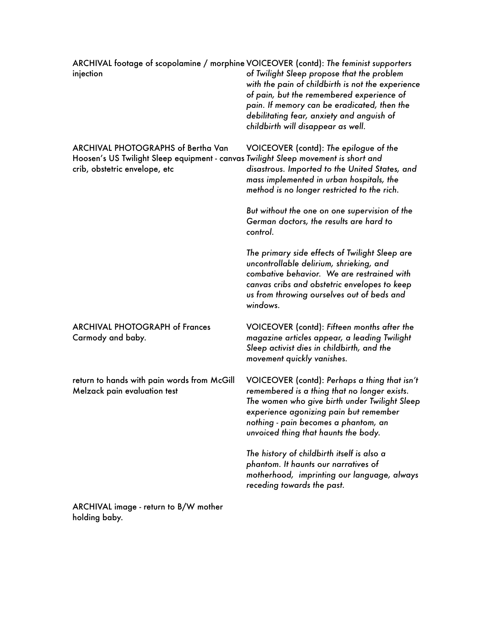| ARCHIVAL footage of scopolamine / morphine VOICEOVER (contd): The feminist supporters<br>injection                                                               | of Twilight Sleep propose that the problem<br>with the pain of childbirth is not the experience<br>of pain, but the remembered experience of<br>pain. If memory can be eradicated, then the<br>debilitating fear, anxiety and anguish of<br>childbirth will disappear as well. |
|------------------------------------------------------------------------------------------------------------------------------------------------------------------|--------------------------------------------------------------------------------------------------------------------------------------------------------------------------------------------------------------------------------------------------------------------------------|
| <b>ARCHIVAL PHOTOGRAPHS of Bertha Van</b><br>Hoosen's US Twilight Sleep equipment - canvas Twilight Sleep movement is short and<br>crib, obstetric envelope, etc | VOICEOVER (contd): The epilogue of the<br>disastrous. Imported to the United States, and<br>mass implemented in urban hospitals, the<br>method is no longer restricted to the rich.                                                                                            |
|                                                                                                                                                                  | But without the one on one supervision of the<br>German doctors, the results are hard to<br>control.                                                                                                                                                                           |
|                                                                                                                                                                  | The primary side effects of Twilight Sleep are<br>uncontrollable delirium, shrieking, and<br>combative behavior. We are restrained with<br>canvas cribs and obstetric envelopes to keep<br>us from throwing ourselves out of beds and<br>windows.                              |
| <b>ARCHIVAL PHOTOGRAPH of Frances</b><br>Carmody and baby.                                                                                                       | VOICEOVER (contd): Fifteen months after the<br>magazine articles appear, a leading Twilight<br>Sleep activist dies in childbirth, and the<br>movement quickly vanishes.                                                                                                        |
| return to hands with pain words from McGill<br>Melzack pain evaluation test                                                                                      | VOICEOVER (contd): Perhaps a thing that isn't<br>remembered is a thing that no longer exists.<br>The women who give birth under Twilight Sleep<br>experience agonizing pain but remember<br>nothing - pain becomes a phantom, an<br>unvoiced thing that haunts the body.       |
|                                                                                                                                                                  | The history of childbirth itself is also a<br>phantom. It haunts our narratives of<br>motherhood, imprinting our language, always<br>receding towards the past.                                                                                                                |
| ARCHIVAL image - return to B/W mother<br>holding baby.                                                                                                           |                                                                                                                                                                                                                                                                                |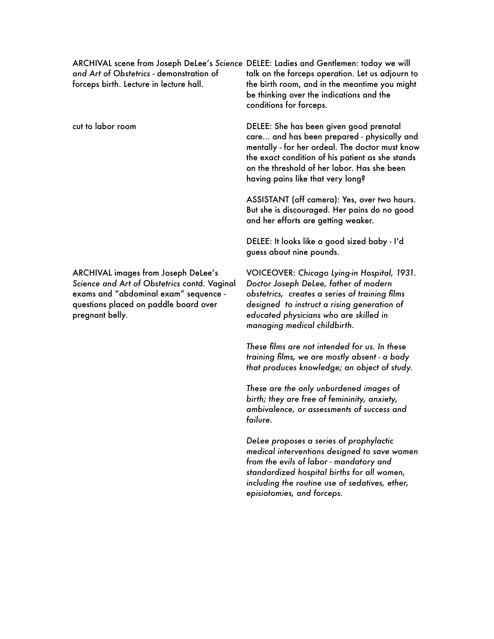*and Art of Obstetrics* - demonstration of forceps birth. Lecture in lecture hall.

cut to labor room

ARCHIVAL images from Joseph DeLee's *Science and Art of Obstetrics* contd. Vaginal exams and "abdominal exam" sequence questions placed on paddle board over pregnant belly.

ARCHIVAL scene from Joseph DeLee's *Science*  DELEE: Ladies and Gentlemen: today we will talk on the forceps operation. Let us adjourn to the birth room, and in the meantime you might be thinking over the indications and the conditions for forceps.

> DELEE: She has been given good prenatal care... and has been prepared - physically and mentally - for her ordeal. The doctor must know the exact condition of his patient as she stands on the threshold of her labor. Has she been having pains like that very long?

ASSISTANT (off camera): Yes, over two hours. But she is discouraged. Her pains do no good and her efforts are getting weaker.

DELEE: It looks like a good sized baby - I'd guess about nine pounds.

VOICEOVER: *Chicago Lying-in Hospital, 1931. Doctor Joseph DeLee, father of modern obstetrics, creates a series of training films designed to instruct a rising generation of educated physicians who are skilled in managing medical childbirth.* 

*These films are not intended for us. In these training films, we are mostly absent - a body that produces knowledge; an object of study.*

*These are the only unburdened images of birth; they are free of femininity, anxiety, ambivalence, or assessments of success and failure.* 

*DeLee proposes a series of prophylactic medical interventions designed to save women from the evils of labor - mandatory and standardized hospital births for all women, including the routine use of sedatives, ether, episiotomies, and forceps.*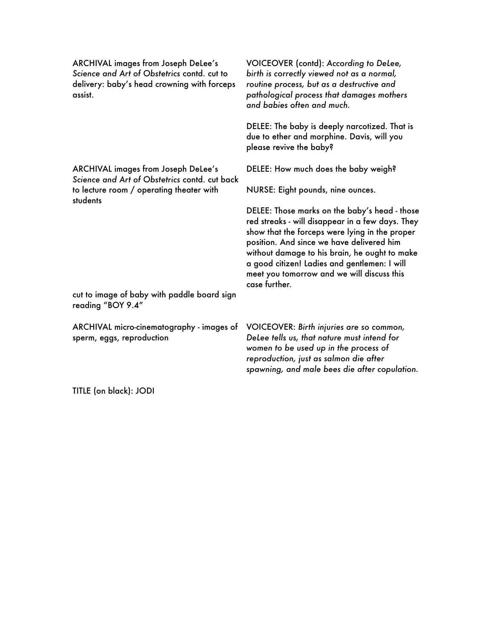ARCHIVAL images from Joseph DeLee's *Science and Art of Obstetrics* contd. cut to delivery: baby's head crowning with forceps assist.

ARCHIVAL images from Joseph DeLee's *Science and Art of Obstetrics* contd. cut back to lecture room / operating theater with students

cut to image of baby with paddle board sign reading "BOY 9.4"

ARCHIVAL micro-cinematography - images of sperm, eggs, reproduction

VOICEOVER (contd): *According to DeLee, birth is correctly viewed not as a normal, routine process, but as a destructive and pathological process that damages mothers and babies often and much.* 

DELEE: The baby is deeply narcotized. That is due to ether and morphine. Davis, will you please revive the baby?

DELEE: How much does the baby weigh?

NURSE: Eight pounds, nine ounces.

DELEE: Those marks on the baby's head - those red streaks - will disappear in a few days. They show that the forceps were lying in the proper position. And since we have delivered him without damage to his brain, he ought to make a good citizen! Ladies and gentlemen: I will meet you tomorrow and we will discuss this case further.

VOICEOVER: *Birth injuries are so common, DeLee tells us, that nature must intend for women to be used up in the process of reproduction, just as salmon die after spawning, and male bees die after copulation.*

TITLE (on black): JODI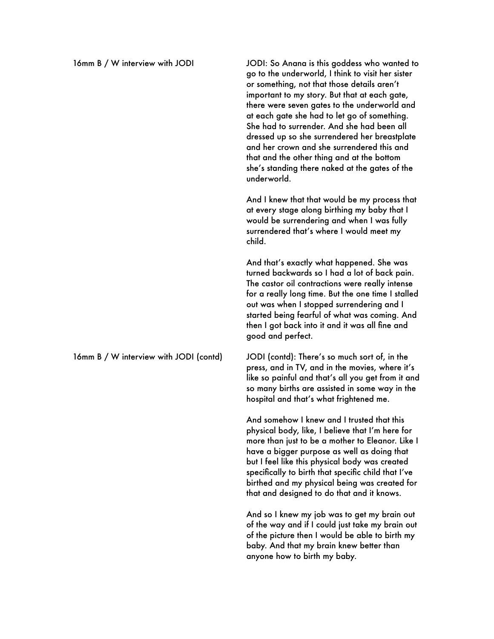go to the underworld, I think to visit her sister or something, not that those details aren't important to my story. But that at each gate, there were seven gates to the underworld and at each gate she had to let go of something. She had to surrender. And she had been all dressed up so she surrendered her breastplate and her crown and she surrendered this and that and the other thing and at the bottom she's standing there naked at the gates of the underworld.

And I knew that that would be my process that at every stage along birthing my baby that I would be surrendering and when I was fully surrendered that's where I would meet my child.

And that's exactly what happened. She was turned backwards so I had a lot of back pain. The castor oil contractions were really intense for a really long time. But the one time I stalled out was when I stopped surrendering and I started being fearful of what was coming. And then I got back into it and it was all fine and good and perfect.

16mm B / W interview with JODI (contd) JODI (contd): There's so much sort of, in the press, and in TV, and in the movies, where it's like so painful and that's all you get from it and so many births are assisted in some way in the hospital and that's what frightened me.

> And somehow I knew and I trusted that this physical body, like, I believe that I'm here for more than just to be a mother to Eleanor. Like I have a bigger purpose as well as doing that but I feel like this physical body was created specifically to birth that specific child that I've birthed and my physical being was created for that and designed to do that and it knows.

> And so I knew my job was to get my brain out of the way and if I could just take my brain out of the picture then I would be able to birth my baby. And that my brain knew better than anyone how to birth my baby.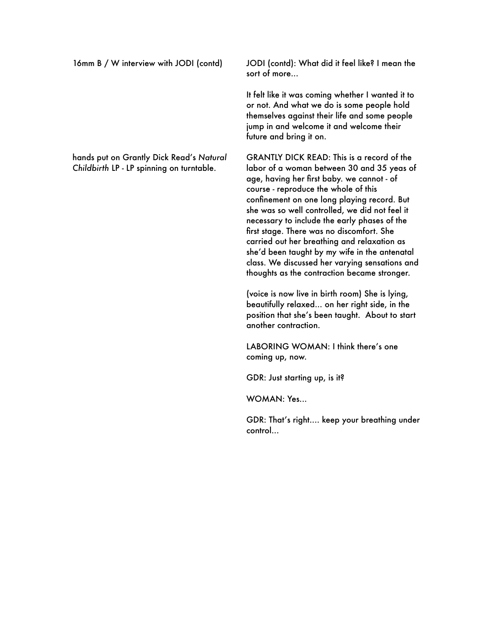16mm B / W interview with JODI (contd) JODI (contd): What did it feel like? I mean the sort of more...

> It felt like it was coming whether I wanted it to or not. And what we do is some people hold themselves against their life and some people jump in and welcome it and welcome their future and bring it on.

GRANTLY DICK READ: This is a record of the labor of a woman between 30 and 35 yeas of age, having her first baby. we cannot - of course - reproduce the whole of this confinement on one long playing record. But she was so well controlled, we did not feel it necessary to include the early phases of the first stage. There was no discomfort. She carried out her breathing and relaxation as she'd been taught by my wife in the antenatal class. We discussed her varying sensations and thoughts as the contraction became stronger.

(voice is now live in birth room) She is lying, beautifully relaxed... on her right side, in the position that she's been taught. About to start another contraction.

LABORING WOMAN: I think there's one coming up, now.

GDR: Just starting up, is it?

WOMAN: Yes...

GDR: That's right.... keep your breathing under control...

hands put on Grantly Dick Read's *Natural Childbirth* LP - LP spinning on turntable.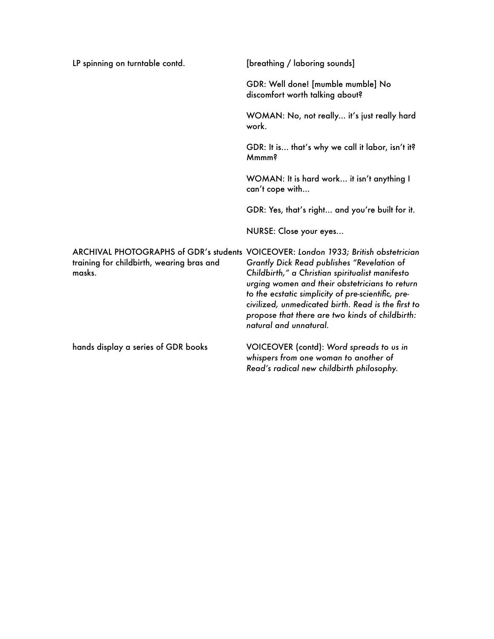| LP spinning on turntable contd.                     | [breathing / laboring sounds]                                                                                                                                                                                                                                                                                                                                                                                                   |
|-----------------------------------------------------|---------------------------------------------------------------------------------------------------------------------------------------------------------------------------------------------------------------------------------------------------------------------------------------------------------------------------------------------------------------------------------------------------------------------------------|
|                                                     | GDR: Well done! [mumble mumble] No<br>discomfort worth talking about?                                                                                                                                                                                                                                                                                                                                                           |
|                                                     | WOMAN: No, not really it's just really hard<br>work.                                                                                                                                                                                                                                                                                                                                                                            |
|                                                     | GDR: It is that's why we call it labor, isn't it?<br>Mmmm?                                                                                                                                                                                                                                                                                                                                                                      |
|                                                     | WOMAN: It is hard work it isn't anything I<br>can't cope with                                                                                                                                                                                                                                                                                                                                                                   |
|                                                     | GDR: Yes, that's right and you're built for it.                                                                                                                                                                                                                                                                                                                                                                                 |
|                                                     | NURSE: Close your eyes                                                                                                                                                                                                                                                                                                                                                                                                          |
| training for childbirth, wearing bras and<br>masks. | ARCHIVAL PHOTOGRAPHS of GDR's students VOICEOVER: London 1933; British obstetrician<br>Grantly Dick Read publishes "Revelation of<br>Childbirth," a Christian spiritualist manifesto<br>urging women and their obstetricians to return<br>to the ecstatic simplicity of pre-scientific, pre-<br>civilized, unmedicated birth. Read is the first to<br>propose that there are two kinds of childbirth:<br>natural and unnatural. |
| hands display a series of GDR books                 | VOICEOVER (contd): Word spreads to us in<br>whispers from one woman to another of<br>Read's radical new childbirth philosophy.                                                                                                                                                                                                                                                                                                  |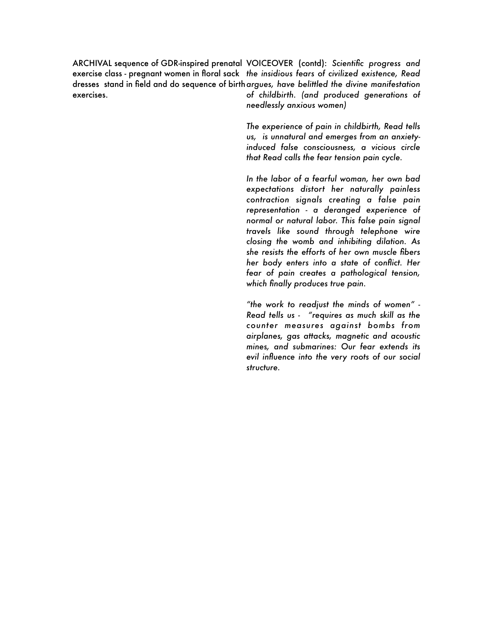ARCHIVAL sequence of GDR-inspired prenatal VOICEOVER (contd): *Scientific progress and*  exercise class - pregnant women in floral sack *the insidious fears of civilized existence, Read*  dresses stand in field and do sequence of birth *argues, have belittled the divine manifestation*  exercises. *of childbirth. (and produced generations of* 

*needlessly anxious women)*

*The experience of pain in childbirth, Read tells us, is unnatural and emerges from an anxietyinduced false consciousness, a vicious circle that Read calls the fear tension pain cycle.* 

*In the labor of a fearful woman, her own bad expectations distort her naturally painless contraction signals creating a false pain representation - a deranged experience of normal or natural labor. This false pain signal travels like sound through telephone wire closing the womb and inhibiting dilation. As she resists the efforts of her own muscle fibers her body enters into a state of conflict. Her fear of pain creates a pathological tension, which finally produces true pain.* 

*"the work to readjust the minds of women" - Read tells us - "requires as much skill as the counter measures against bombs from airplanes, gas attacks, magnetic and acoustic mines, and submarines: Our fear extends its evil influence into the very roots of our social structure.*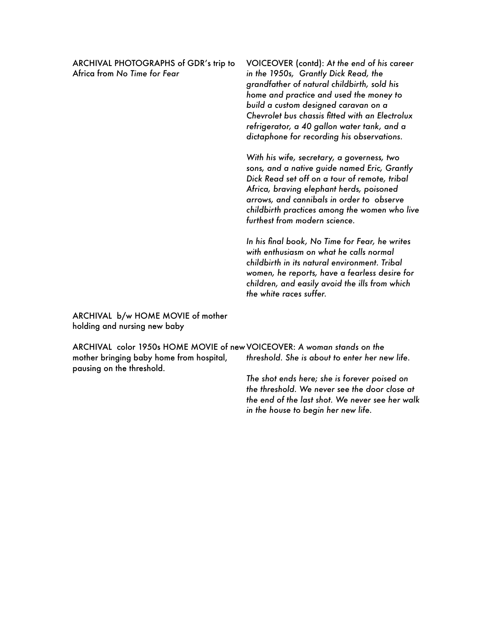ARCHIVAL PHOTOGRAPHS of GDR's trip to Africa from *No Time for Fear*

VOICEOVER (contd): *At the end of his career in the 1950s, Grantly Dick Read, the grandfather of natural childbirth, sold his home and practice and used the money to build a custom designed caravan on a Chevrolet bus chassis fitted with an Electrolux refrigerator, a 40 gallon water tank, and a dictaphone for recording his observations.* 

*With his wife, secretary, a governess, two sons, and a native guide named Eric, Grantly Dick Read set off on a tour of remote, tribal Africa, braving elephant herds, poisoned arrows, and cannibals in order to observe childbirth practices among the women who live furthest from modern science.* 

*In his final book, No Time for Fear, he writes with enthusiasm on what he calls normal childbirth in its natural environment. Tribal women, he reports, have a fearless desire for children, and easily avoid the ills from which the white races suffer.* 

ARCHIVAL b/w HOME MOVIE of mother holding and nursing new baby

ARCHIVAL color 1950s HOME MOVIE of new VOICEOVER: *A woman stands on the*  mother bringing baby home from hospital, pausing on the threshold. *threshold. She is about to enter her new life.* 

> *The shot ends here; she is forever poised on the threshold. We never see the door close at the end of the last shot. We never see her walk in the house to begin her new life.*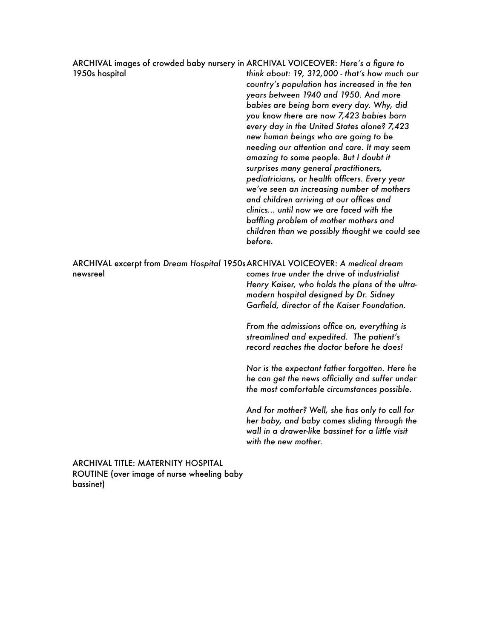| ARCHIVAL images of crowded baby nursery in ARCHIVAL VOICEOVER: Here's a figure to<br>1950s hospital | think about: 19, 312,000 - that's how much our<br>country's population has increased in the ten<br>years between 1940 and 1950. And more<br>babies are being born every day. Why, did<br>you know there are now 7,423 babies born<br>every day in the United States alone? 7,423<br>new human beings who are going to be<br>needing our attention and care. It may seem<br>amazing to some people. But I doubt it<br>surprises many general practitioners,<br>pediatricians, or health officers. Every year<br>we've seen an increasing number of mothers<br>and children arriving at our offices and<br>clinics until now we are faced with the<br>baffling problem of mother mothers and<br>children than we possibly thought we could see<br>before. |
|-----------------------------------------------------------------------------------------------------|---------------------------------------------------------------------------------------------------------------------------------------------------------------------------------------------------------------------------------------------------------------------------------------------------------------------------------------------------------------------------------------------------------------------------------------------------------------------------------------------------------------------------------------------------------------------------------------------------------------------------------------------------------------------------------------------------------------------------------------------------------|
| ARCHIVAL excerpt from Dream Hospital 1950s ARCHIVAL VOICEOVER: A medical dream<br>newsreel          | comes true under the drive of industrialist<br>Henry Kaiser, who holds the plans of the ultra-<br>modern hospital designed by Dr. Sidney<br>Garfield, director of the Kaiser Foundation.                                                                                                                                                                                                                                                                                                                                                                                                                                                                                                                                                                |
|                                                                                                     | From the admissions office on, everything is<br>streamlined and expedited. The patient's<br>record reaches the doctor before he does!                                                                                                                                                                                                                                                                                                                                                                                                                                                                                                                                                                                                                   |
|                                                                                                     | Nor is the expectant father forgotten. Here he<br>he can get the news officially and suffer under<br>the most comfortable circumstances possible.                                                                                                                                                                                                                                                                                                                                                                                                                                                                                                                                                                                                       |
|                                                                                                     | And for mother? Well, she has only to call for<br>her baby, and baby comes sliding through the<br>wall in a drawer-like bassinet for a little visit<br>with the new mother.                                                                                                                                                                                                                                                                                                                                                                                                                                                                                                                                                                             |

ARCHIVAL TITLE: MATERNITY HOSPITAL ROUTINE (over image of nurse wheeling baby bassinet)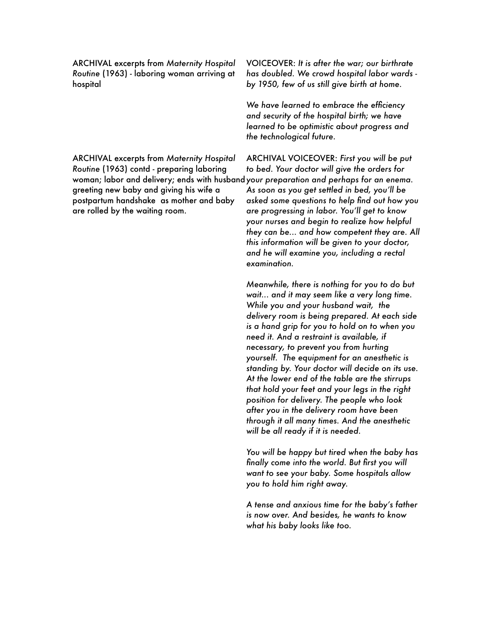ARCHIVAL excerpts from *Maternity Hospital Routine* (1963) - laboring woman arriving at hospital

ARCHIVAL excerpts from *Maternity Hospital Routine* (1963) contd - preparing laboring greeting new baby and giving his wife a postpartum handshake as mother and baby are rolled by the waiting room.

VOICEOVER: *It is after the war; our birthrate has doubled. We crowd hospital labor wards by 1950, few of us still give birth at home.* 

*We have learned to embrace the efficiency and security of the hospital birth; we have learned to be optimistic about progress and the technological future.* 

woman; labor and delivery; ends with husband *your preparation and perhaps for an enema.*  ARCHIVAL VOICEOVER: *First you will be put to bed. Your doctor will give the orders for As soon as you get settled in bed, you'll be asked some questions to help find out how you are progressing in labor. You'll get to know your nurses and begin to realize how helpful they can be... and how competent they are. All this information will be given to your doctor, and he will examine you, including a rectal examination.* 

> *Meanwhile, there is nothing for you to do but wait... and it may seem like a very long time. While you and your husband wait, the delivery room is being prepared. At each side is a hand grip for you to hold on to when you need it. And a restraint is available, if necessary, to prevent you from hurting yourself. The equipment for an anesthetic is standing by. Your doctor will decide on its use. At the lower end of the table are the stirrups that hold your feet and your legs in the right position for delivery. The people who look after you in the delivery room have been through it all many times. And the anesthetic will be all ready if it is needed.*

> *You will be happy but tired when the baby has finally come into the world. But first you will want to see your baby. Some hospitals allow you to hold him right away.*

> *A tense and anxious time for the baby's father is now over. And besides, he wants to know what his baby looks like too.*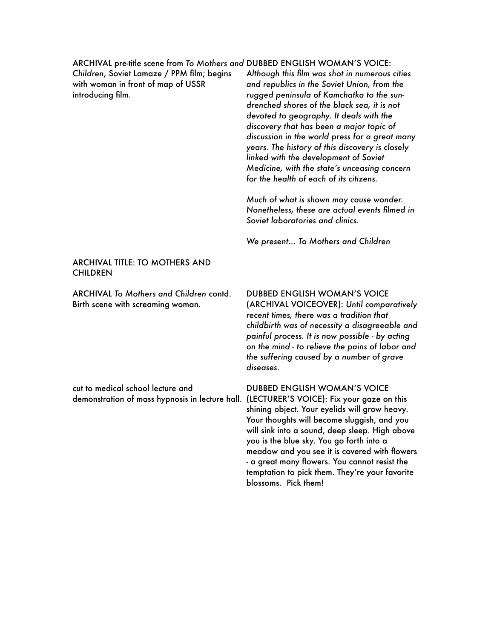ARCHIVAL pre-title scene from *To Mothers and*  DUBBED ENGLISH WOMAN'S VOICE: *Children*, Soviet Lamaze / PPM film; begins with woman in front of map of USSR introducing film. *Although this film was shot in numerous cities and republics in the Soviet Union, from the rugged peninsula of Kamchatka to the sundrenched shores of the black sea, it is not devoted to geography. It deals with the discovery that has been a major topic of discussion in the world press for a great many years. The history of this discovery is closely linked with the development of Soviet Medicine, with the state's unceasing concern for the health of each of its citizens. Much of what is shown may cause wonder. Nonetheless, these are actual events filmed in Soviet laboratories and clinics. We present... To Mothers and Children* ARCHIVAL TITLE: TO MOTHERS AND **CHILDREN** ARCHIVAL *To Mothers and Children* contd. Birth scene with screaming woman. cut to medical school lecture and demonstration of mass hypnosis in lecture hall. (LECTURER'S VOICE): Fix your gaze on this DUBBED ENGLISH WOMAN'S VOICE (ARCHIVAL VOICEOVER): *Until comparatively recent times, there was a tradition that childbirth was of necessity a disagreeable and painful process. It is now possible - by acting on the mind - to relieve the pains of labor and the suffering caused by a number of grave diseases.* DUBBED ENGLISH WOMAN'S VOICE shining object. Your eyelids will grow heavy. Your thoughts will become sluggish, and you will sink into a sound, deep sleep. High above you is the blue sky. You go forth into a meadow and you see it is covered with flowers - a great many flowers. You cannot resist the temptation to pick them. They're your favorite blossoms. Pick them!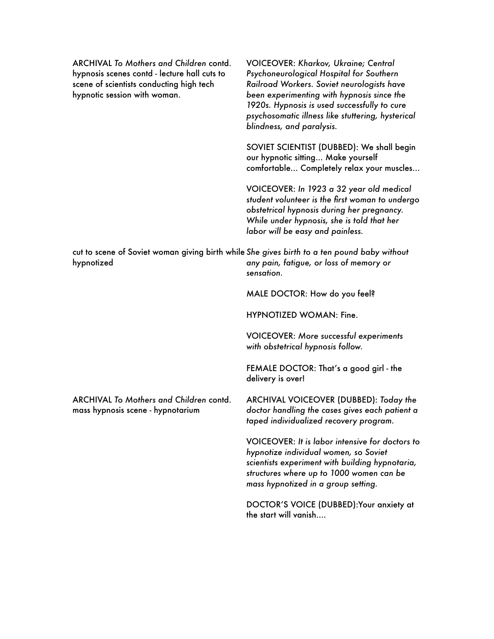| <b>ARCHIVAL To Mothers and Children contd.</b><br>hypnosis scenes contd - lecture hall cuts to<br>scene of scientists conducting high tech<br>hypnotic session with woman. | <b>VOICEOVER: Kharkov, Ukraine; Central</b><br>Psychoneurological Hospital for Southern<br>Railroad Workers. Soviet neurologists have<br>been experimenting with hypnosis since the<br>1920s. Hypnosis is used successfully to cure<br>psychosomatic illness like stuttering, hysterical<br>blindness, and paralysis. |
|----------------------------------------------------------------------------------------------------------------------------------------------------------------------------|-----------------------------------------------------------------------------------------------------------------------------------------------------------------------------------------------------------------------------------------------------------------------------------------------------------------------|
|                                                                                                                                                                            | SOVIET SCIENTIST (DUBBED): We shall begin<br>our hypnotic sitting Make yourself<br>comfortable Completely relax your muscles                                                                                                                                                                                          |
|                                                                                                                                                                            | VOICEOVER: In 1923 a 32 year old medical<br>student volunteer is the first woman to undergo<br>obstetrical hypnosis during her pregnancy.<br>While under hypnosis, she is told that her<br>labor will be easy and painless.                                                                                           |
| cut to scene of Soviet woman giving birth while She gives birth to a ten pound baby without<br>hypnotized                                                                  | any pain, fatigue, or loss of memory or<br>sensation.                                                                                                                                                                                                                                                                 |
|                                                                                                                                                                            | MALE DOCTOR: How do you feel?                                                                                                                                                                                                                                                                                         |
|                                                                                                                                                                            | HYPNOTIZED WOMAN: Fine.                                                                                                                                                                                                                                                                                               |
|                                                                                                                                                                            | <b>VOICEOVER: More successful experiments</b><br>with obstetrical hypnosis follow.                                                                                                                                                                                                                                    |
|                                                                                                                                                                            | FEMALE DOCTOR: That's a good girl - the<br>delivery is over!                                                                                                                                                                                                                                                          |
| <b>ARCHIVAL To Mothers and Children contd.</b><br>mass hypnosis scene - hypnotarium                                                                                        | ARCHIVAL VOICEOVER (DUBBED): Today the<br>doctor handling the cases gives each patient a<br>taped individualized recovery program.                                                                                                                                                                                    |
|                                                                                                                                                                            | VOICEOVER: It is labor intensive for doctors to<br>hypnotize individual women, so Soviet<br>scientists experiment with building hypnotaria,<br>structures where up to 1000 women can be<br>mass hypnotized in a group setting.                                                                                        |
|                                                                                                                                                                            | DOCTOR'S VOICE (DUBBED): Your anxiety at<br>the start will vanish                                                                                                                                                                                                                                                     |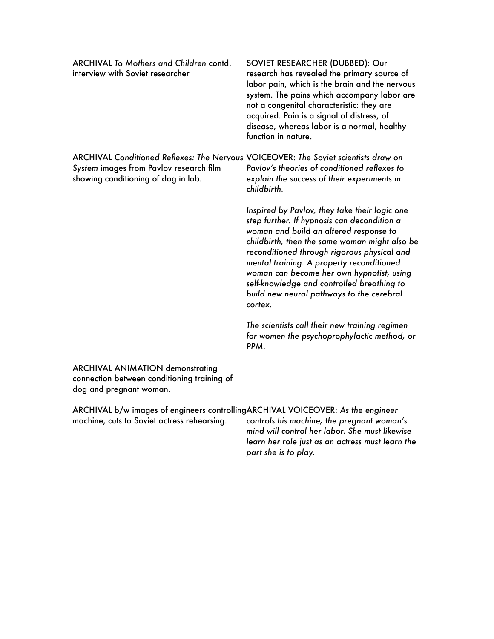| <b>ARCHIVAL To Mothers and Children contd.</b><br>interview with Soviet researcher                                                                                    | SOVIET RESEARCHER (DUBBED): Our<br>research has revealed the primary source of<br>labor pain, which is the brain and the nervous<br>system. The pains which accompany labor are<br>not a congenital characteristic: they are<br>acquired. Pain is a signal of distress, of<br>disease, whereas labor is a normal, healthy<br>function in nature.                                                                                       |
|-----------------------------------------------------------------------------------------------------------------------------------------------------------------------|----------------------------------------------------------------------------------------------------------------------------------------------------------------------------------------------------------------------------------------------------------------------------------------------------------------------------------------------------------------------------------------------------------------------------------------|
| ARCHIVAL Conditioned Reflexes: The Nervous VOICEOVER: The Soviet scientists draw on<br>System images from Pavlov research film<br>showing conditioning of dog in lab. | Payloy's theories of conditioned reflexes to<br>explain the success of their experiments in<br>childbirth.                                                                                                                                                                                                                                                                                                                             |
|                                                                                                                                                                       | Inspired by Pavlov, they take their logic one<br>step further. If hypnosis can decondition a<br>woman and build an altered response to<br>childbirth, then the same woman might also be<br>reconditioned through rigorous physical and<br>mental training. A properly reconditioned<br>woman can become her own hypnotist, using<br>self-knowledge and controlled breathing to<br>build new neural pathways to the cerebral<br>cortex. |
|                                                                                                                                                                       | The scientists call their new training regimen<br>for women the psychoprophylactic method, or<br>PPM.                                                                                                                                                                                                                                                                                                                                  |
| <b>ARCHIVAL ANIMATION demonstrating</b><br>connection between conditioning training of<br>dog and pregnant woman.                                                     |                                                                                                                                                                                                                                                                                                                                                                                                                                        |
| ARCHIVAL b/w images of engineers controllingARCHIVAL VOICEOVER: As the engineer<br>machine, cuts to Soviet actress rehearsing.                                        | controls his machine, the pregnant woman's<br>mind will control her labor. She must likewise                                                                                                                                                                                                                                                                                                                                           |

*learn her role just as an actress must learn the* 

*part she is to play.*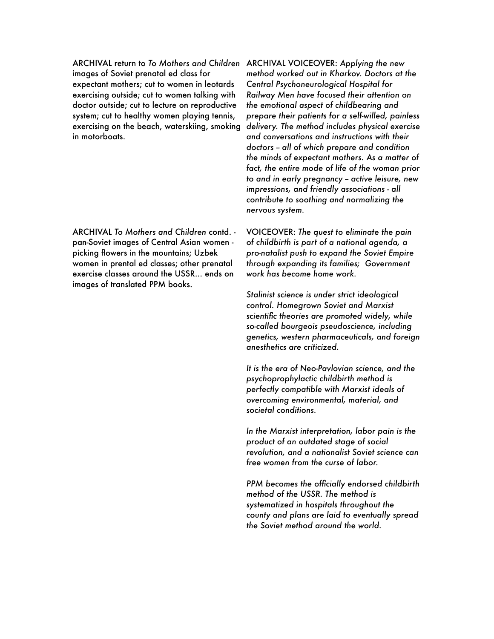ARCHIVAL return to *To Mothers and Children*  ARCHIVAL VOICEOVER: *Applying the new*  images of Soviet prenatal ed class for expectant mothers; cut to women in leotards exercising outside; cut to women talking with doctor outside; cut to lecture on reproductive system; cut to healthy women playing tennis, exercising on the beach, waterskiing, smoking in motorboats.

ARCHIVAL *To Mothers and Children* contd. pan-Soviet images of Central Asian women picking flowers in the mountains; Uzbek women in prental ed classes; other prenatal exercise classes around the USSR... ends on images of translated PPM books.

*method worked out in Kharkov. Doctors at the Central Psychoneurological Hospital for Railway Men have focused their attention on the emotional aspect of childbearing and prepare their patients for a self-willed, painless delivery. The method includes physical exercise and conversations and instructions with their doctors -- all of which prepare and condition the minds of expectant mothers. As a matter of fact, the entire mode of life of the woman prior to and in early pregnancy -- active leisure, new impressions, and friendly associations - all contribute to soothing and normalizing the nervous system.* 

VOICEOVER: *The quest to eliminate the pain of childbirth is part of a national agenda, a pro-natalist push to expand the Soviet Empire through expanding its families; Government work has become home work.* 

*Stalinist science is under strict ideological control. Homegrown Soviet and Marxist scientific theories are promoted widely, while so-called bourgeois pseudoscience, including genetics, western pharmaceuticals, and foreign anesthetics are criticized.* 

*It is the era of Neo-Pavlovian science, and the psychoprophylactic childbirth method is perfectly compatible with Marxist ideals of overcoming environmental, material, and societal conditions.* 

*In the Marxist interpretation, labor pain is the product of an outdated stage of social revolution, and a nationalist Soviet science can free women from the curse of labor.*

*PPM becomes the officially endorsed childbirth method of the USSR. The method is systematized in hospitals throughout the county and plans are laid to eventually spread the Soviet method around the world.*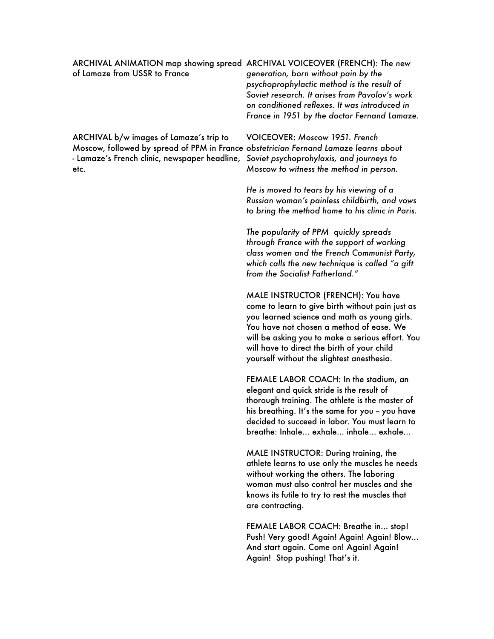| ARCHIVAL ANIMATION map showing spread ARCHIVAL VOICEOVER (FRENCH): The new<br>of Lamaze from USSR to France                                                                                                                       | generation, born without pain by the<br>psychoprophylactic method is the result of<br>Soviet research. It arises from Pavolov's work<br>on conditioned reflexes. It was introduced in<br>France in 1951 by the doctor Fernand Lamaze. |
|-----------------------------------------------------------------------------------------------------------------------------------------------------------------------------------------------------------------------------------|---------------------------------------------------------------------------------------------------------------------------------------------------------------------------------------------------------------------------------------|
| ARCHIVAL b/w images of Lamaze's trip to<br>Moscow, followed by spread of PPM in France obstetrician Fernand Lamaze learns about<br>- Lamaze's French clinic, newspaper headline, Soviet psychoprohylaxis, and journeys to<br>etc. | VOICEOVER: Moscow 1951. French<br>Moscow to witness the method in person.                                                                                                                                                             |
|                                                                                                                                                                                                                                   | He is moved to tears by his viewing of a                                                                                                                                                                                              |

*Russian woman's painless childbirth, and vows to bring the method home to his clinic in Paris.* 

*The popularity of PPM quickly spreads through France with the support of working class women and the French Communist Party, which calls the new technique is called "a gift from the Socialist Fatherland."*

MALE INSTRUCTOR (FRENCH): You have come to learn to give birth without pain just as you learned science and math as young girls. You have not chosen a method of ease. We will be asking you to make a serious effort. You will have to direct the birth of your child yourself without the slightest anesthesia.

FEMALE LABOR COACH: In the stadium, an elegant and quick stride is the result of thorough training. The athlete is the master of his breathing. It's the same for you - you have decided to succeed in labor. You must learn to breathe: Inhale... exhale... inhale... exhale...

MALE INSTRUCTOR: During training, the athlete learns to use only the muscles he needs without working the others. The laboring woman must also control her muscles and she knows its futile to try to rest the muscles that are contracting.

FEMALE LABOR COACH: Breathe in... stop! Push! Very good! Again! Again! Again! Blow... And start again. Come on! Again! Again! Again! Stop pushing! That's it.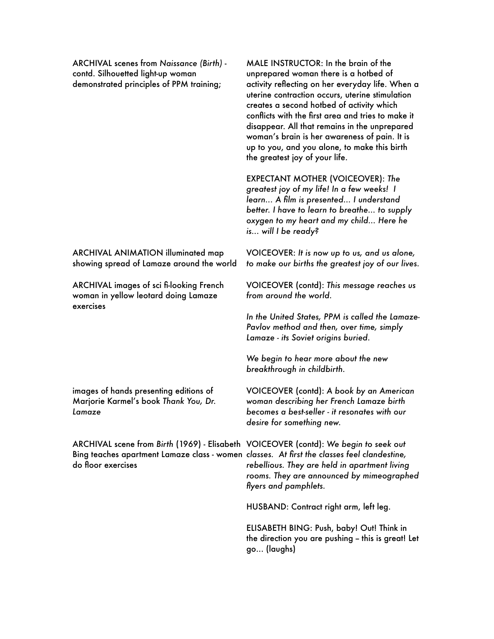ARCHIVAL scenes from *Naissance (Birth)* contd. Silhouetted light-up woman demonstrated principles of PPM training;

MALE INSTRUCTOR: In the brain of the unprepared woman there is a hotbed of activity reflecting on her everyday life. When a uterine contraction occurs, uterine stimulation creates a second hotbed of activity which conflicts with the first area and tries to make it disappear. All that remains in the unprepared woman's brain is her awareness of pain. It is up to you, and you alone, to make this birth the greatest joy of your life.

EXPECTANT MOTHER (VOICEOVER): *The greatest joy of my life! In a few weeks! I learn... A film is presented... I understand better. I have to learn to breathe... to supply oxygen to my heart and my child... Here he is... will I be ready?* 

VOICEOVER: *It is now up to us, and us alone, to make our births the greatest joy of our lives.* 

VOICEOVER (contd): *This message reaches us from around the world.* 

*In the United States, PPM is called the Lamaze-Pavlov method and then, over time, simply Lamaze - its Soviet origins buried.* 

*We begin to hear more about the new breakthrough in childbirth.* 

VOICEOVER (contd): *A book by an American woman describing her French Lamaze birth becomes a best-seller - it resonates with our desire for something new.* 

*rebellious. They are held in apartment living rooms. They are announced by mimeographed flyers and pamphlets.*

HUSBAND: Contract right arm, left leg.

ELISABETH BING: Push, baby! Out! Think in the direction you are pushing - this is great! Let go... (laughs)

ARCHIVAL ANIMATION illuminated map showing spread of Lamaze around the world

ARCHIVAL images of sci fi-looking French woman in yellow leotard doing Lamaze exercises

images of hands presenting editions of Marjorie Karmel's book *Thank You, Dr. Lamaze*

ARCHIVAL scene from *Birth* (1969) - Elisabeth VOICEOVER (contd): *We begin to seek out*  Bing teaches apartment Lamaze class - women *classes. At first the classes feel clandestine,*  do floor exercises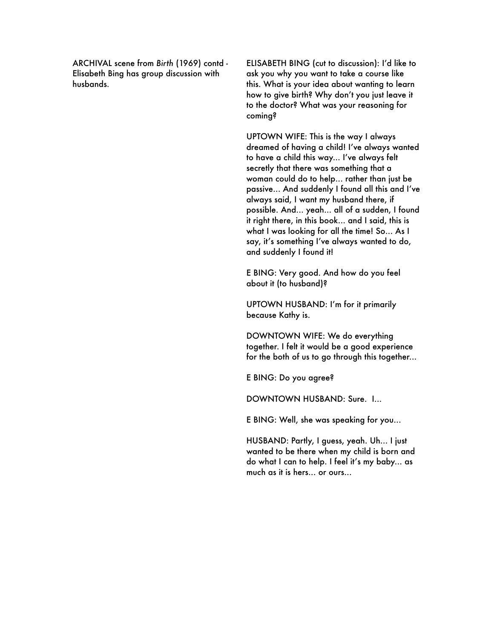ARCHIVAL scene from *Birth* (1969) contd - Elisabeth Bing has group discussion with husbands.

ELISABETH BING (cut to discussion): I'd like to ask you why you want to take a course like this. What is your idea about wanting to learn how to give birth? Why don't you just leave it to the doctor? What was your reasoning for coming?

UPTOWN WIFE: This is the way I always dreamed of having a child! I've always wanted to have a child this way... I've always felt secretly that there was something that a woman could do to help... rather than just be passive... And suddenly I found all this and I've always said, I want my husband there, if possible. And... yeah... all of a sudden, I found it right there, in this book... and I said, this is what I was looking for all the time! So... As I say, it's something I've always wanted to do, and suddenly I found it!

E BING: Very good. And how do you feel about it (to husband)?

UPTOWN HUSBAND: I'm for it primarily because Kathy is.

DOWNTOWN WIFE: We do everything together. I felt it would be a good experience for the both of us to go through this together...

E BING: Do you agree?

DOWNTOWN HUSBAND: Sure. I...

E BING: Well, she was speaking for you...

HUSBAND: Partly, I guess, yeah. Uh... I just wanted to be there when my child is born and do what I can to help. I feel it's my baby... as much as it is hers... or ours...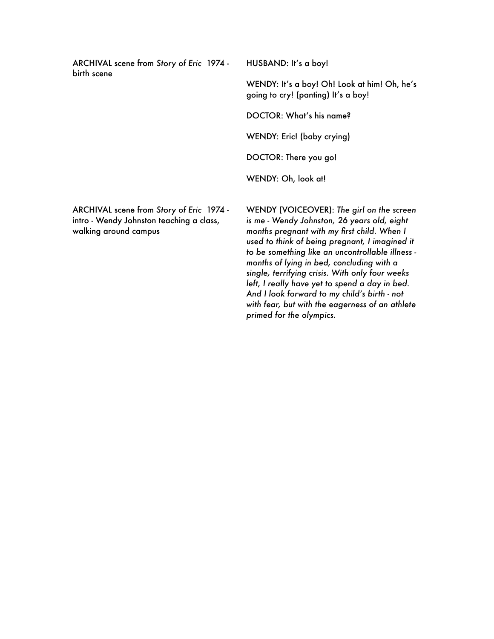ARCHIVAL scene from *Story of Eric* 1974 birth scene

HUSBAND: It's a boy!

WENDY: It's a boy! Oh! Look at him! Oh, he's going to cry! (panting) It's a boy!

DOCTOR: What's his name?

WENDY: Eric! (baby crying)

DOCTOR: There you go!

WENDY: Oh, look at!

ARCHIVAL scene from *Story of Eric* 1974 intro - Wendy Johnston teaching a class, walking around campus

WENDY (VOICEOVER): *The girl on the screen is me - Wendy Johnston, 26 years old, eight months pregnant with my first child. When I used to think of being pregnant, I imagined it to be something like an uncontrollable illness months of lying in bed, concluding with a single, terrifying crisis. With only four weeks left, I really have yet to spend a day in bed. And I look forward to my child's birth - not with fear, but with the eagerness of an athlete primed for the olympics.*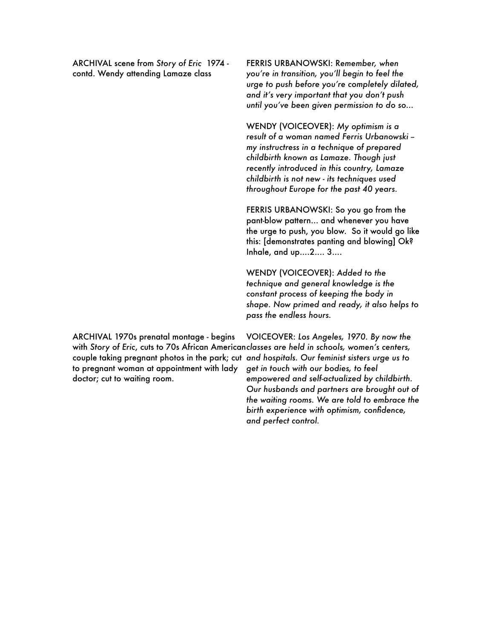ARCHIVAL scene from *Story of Eric* 1974 contd. Wendy attending Lamaze class

FERRIS URBANOWSKI: R*emember, when you're in transition, you'll begin to feel the urge to push before you're completely dilated, and it's very important that you don't push until you've been given permission to do so...* 

WENDY (VOICEOVER): *My optimism is a result of a woman named Ferris Urbanowski - my instructress in a technique of prepared childbirth known as Lamaze. Though just recently introduced in this country, Lamaze childbirth is not new - its techniques used throughout Europe for the past 40 years.* 

FERRIS URBANOWSKI: So you go from the pant-blow pattern... and whenever you have the urge to push, you blow. So it would go like this: [demonstrates panting and blowing] Ok? Inhale, and up....2.... 3....

WENDY (VOICEOVER): *Added to the technique and general knowledge is the constant process of keeping the body in shape. Now primed and ready, it also helps to pass the endless hours.* 

ARCHIVAL 1970s prenatal montage - begins with *Story of Eric, cuts to 70s African Americanclasses are held in schools, women's centers,* couple taking pregnant photos in the park; cut *and hospitals. Our feminist sisters urge us to*  to pregnant woman at appointment with lady doctor; cut to waiting room.

VOICEOVER: *Los Angeles, 1970. By now the get in touch with our bodies, to feel empowered and self-actualized by childbirth. Our husbands and partners are brought out of the waiting rooms. We are told to embrace the birth experience with optimism, confidence, and perfect control.*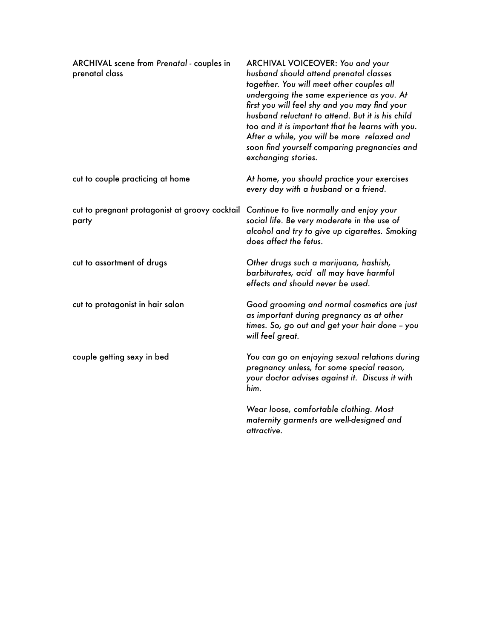| <b>ARCHIVAL</b> scene from Prenatal - couples in<br>prenatal class                               | ARCHIVAL VOICEOVER: You and your<br>husband should attend prenatal classes<br>together. You will meet other couples all<br>undergoing the same experience as you. At<br>first you will feel shy and you may find your<br>husband reluctant to attend. But it is his child<br>too and it is important that he learns with you.<br>After a while, you will be more relaxed and<br>soon find yourself comparing pregnancies and<br>exchanging stories. |
|--------------------------------------------------------------------------------------------------|-----------------------------------------------------------------------------------------------------------------------------------------------------------------------------------------------------------------------------------------------------------------------------------------------------------------------------------------------------------------------------------------------------------------------------------------------------|
| cut to couple practicing at home                                                                 | At home, you should practice your exercises<br>every day with a husband or a friend.                                                                                                                                                                                                                                                                                                                                                                |
| cut to pregnant protagonist at groovy cocktail Continue to live normally and enjoy your<br>party | social life. Be very moderate in the use of<br>alcohol and try to give up cigarettes. Smoking<br>does affect the fetus.                                                                                                                                                                                                                                                                                                                             |
| cut to assortment of drugs                                                                       | Other drugs such a marijuana, hashish,<br>barbiturates, acid all may have harmful<br>effects and should never be used.                                                                                                                                                                                                                                                                                                                              |
| cut to protagonist in hair salon                                                                 | Good grooming and normal cosmetics are just<br>as important during pregnancy as at other<br>times. So, go out and get your hair done – you<br>will feel great.                                                                                                                                                                                                                                                                                      |
| couple getting sexy in bed                                                                       | You can go on enjoying sexual relations during<br>pregnancy unless, for some special reason,<br>your doctor advises against it. Discuss it with<br>him.                                                                                                                                                                                                                                                                                             |
|                                                                                                  | Wear loose, comfortable clothing. Most<br>maternity garments are well-designed and<br>attractive.                                                                                                                                                                                                                                                                                                                                                   |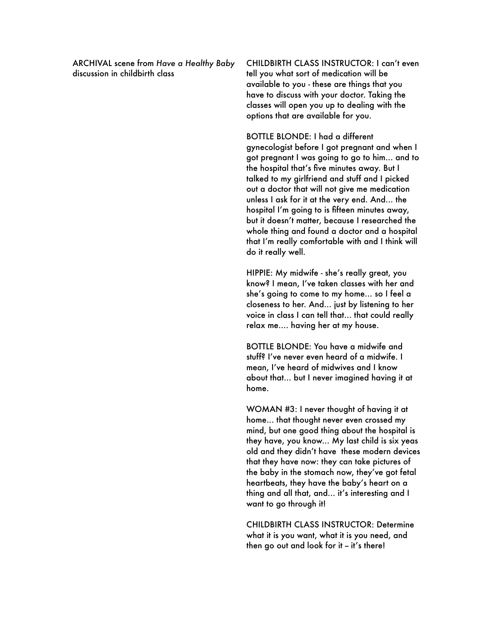ARCHIVAL scene from *Have a Healthy Baby*  discussion in childbirth class

CHILDBIRTH CLASS INSTRUCTOR: I can't even tell you what sort of medication will be available to you - these are things that you have to discuss with your doctor. Taking the classes will open you up to dealing with the options that are available for you.

BOTTLE BLONDE: I had a different gynecologist before I got pregnant and when I got pregnant I was going to go to him... and to the hospital that's five minutes away. But I talked to my girlfriend and stuff and I picked out a doctor that will not give me medication unless I ask for it at the very end. And... the hospital I'm going to is fifteen minutes away, but it doesn't matter, because I researched the whole thing and found a doctor and a hospital that I'm really comfortable with and I think will do it really well.

HIPPIE: My midwife - she's really great, you know? I mean, I've taken classes with her and she's going to come to my home... so I feel a closeness to her. And... just by listening to her voice in class I can tell that... that could really relax me.... having her at my house.

BOTTLE BLONDE: You have a midwife and stuff? I've never even heard of a midwife. I mean, I've heard of midwives and I know about that... but I never imagined having it at home.

WOMAN #3: I never thought of having it at home... that thought never even crossed my mind, but one good thing about the hospital is they have, you know... My last child is six yeas old and they didn't have these modern devices that they have now: they can take pictures of the baby in the stomach now, they've got fetal heartbeats, they have the baby's heart on a thing and all that, and... it's interesting and I want to go through it!

CHILDBIRTH CLASS INSTRUCTOR: Determine what it is you want, what it is you need, and then go out and look for it - it's there!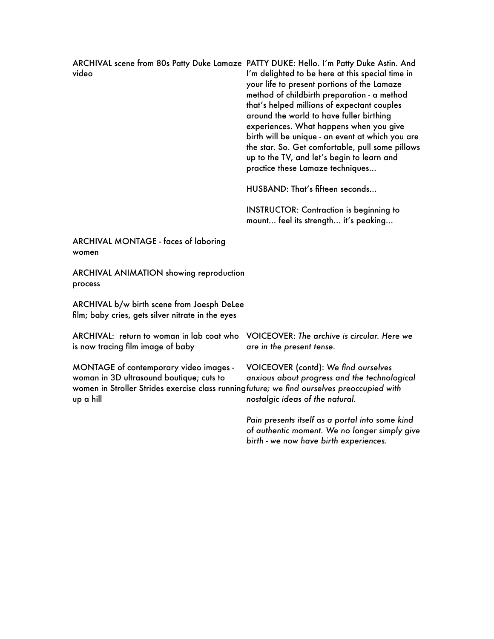ARCHIVAL scene from 80s Patty Duke Lamaze PATTY DUKE: Hello. I'm Patty Duke Astin. And video I'm delighted to be here at this special time in your life to present portions of the Lamaze method of childbirth preparation - a method that's helped millions of expectant couples around the world to have fuller birthing experiences. What happens when you give birth will be unique - an event at which you are the star. So. Get comfortable, pull some pillows up to the TV, and let's begin to learn and practice these Lamaze techniques...

HUSBAND: That's fifteen seconds...

INSTRUCTOR: Contraction is beginning to mount... feel its strength... it's peaking...

ARCHIVAL MONTAGE - faces of laboring women

ARCHIVAL ANIMATION showing reproduction process

ARCHIVAL b/w birth scene from Joesph DeLee film; baby cries, gets silver nitrate in the eyes

is now tracing film image of baby

MONTAGE of contemporary video images woman in 3D ultrasound boutique; cuts to women in Stroller Strides exercise class running *future; we find ourselves preoccupied with*  up a hill

ARCHIVAL: return to woman in lab coat who VOICEOVER: *The archive is circular. Here we are in the present tense.* 

> VOICEOVER (contd): *We find ourselves anxious about progress and the technological nostalgic ideas of the natural.*

*Pain presents itself as a portal into some kind of authentic moment. We no longer simply give birth - we now have birth experiences.*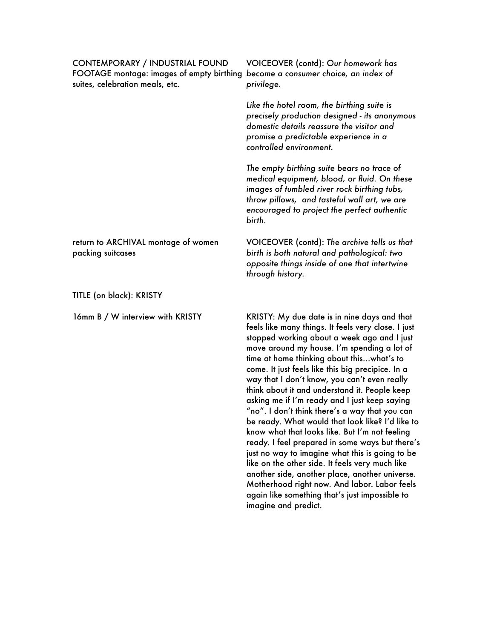CONTEMPORARY / INDUSTRIAL FOUND FOOTAGE montage: images of empty birthing *become a consumer choice, an index of*  suites, celebration meals, etc.

> *Like the hotel room, the birthing suite is precisely production designed - its anonymous domestic details reassure the visitor and promise a predictable experience in a*

VOICEOVER (contd): *Our homework has* 

*privilege.* 

*controlled environment.* 

*The empty birthing suite bears no trace of medical equipment, blood, or fluid. On these images of tumbled river rock birthing tubs, throw pillows, and tasteful wall art, we are encouraged to project the perfect authentic birth.*

VOICEOVER (contd): *The archive tells us that birth is both natural and pathological: two opposite things inside of one that intertwine through history.*

16mm B / W interview with KRISTY KRISTY: My due date is in nine days and that feels like many things. It feels very close. I just stopped working about a week ago and I just move around my house. I'm spending a lot of time at home thinking about this…what's to come. It just feels like this big precipice. In a way that I don't know, you can't even really think about it and understand it. People keep asking me if I'm ready and I just keep saying "no". I don't think there's a way that you can be ready. What would that look like? I'd like to know what that looks like. But I'm not feeling ready. I feel prepared in some ways but there's just no way to imagine what this is going to be like on the other side. It feels very much like another side, another place, another universe. Motherhood right now. And labor. Labor feels

again like something that's just impossible to

imagine and predict.

return to ARCHIVAL montage of women packing suitcases

TITLE (on black): KRISTY